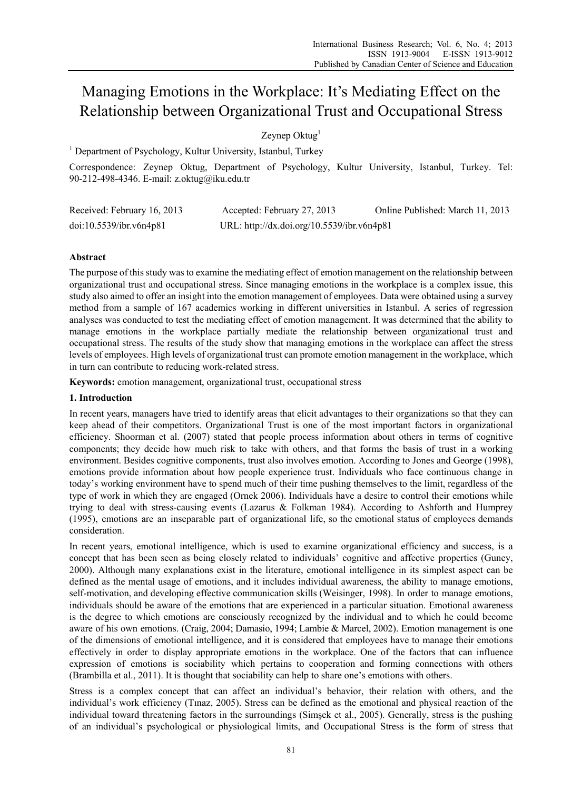# Managing Emotions in the Workplace: It's Mediating Effect on the Relationship between Organizational Trust and Occupational Stress

Zeynep Oktug<sup>1</sup>

<sup>1</sup> Department of Psychology, Kultur University, Istanbul, Turkey

Correspondence: Zeynep Oktug, Department of Psychology, Kultur University, Istanbul, Turkey. Tel: 90-212-498-4346. E-mail: z.oktug@iku.edu.tr

| Received: February 16, 2013 | Accepted: February 27, 2013                | Online Published: March 11, 2013 |
|-----------------------------|--------------------------------------------|----------------------------------|
| doi:10.5539/ibr.v6n4p81     | URL: http://dx.doi.org/10.5539/ibr.v6n4p81 |                                  |

## **Abstract**

The purpose of this study was to examine the mediating effect of emotion management on the relationship between organizational trust and occupational stress. Since managing emotions in the workplace is a complex issue, this study also aimed to offer an insight into the emotion management of employees. Data were obtained using a survey method from a sample of 167 academics working in different universities in Istanbul. A series of regression analyses was conducted to test the mediating effect of emotion management. It was determined that the ability to manage emotions in the workplace partially mediate the relationship between organizational trust and occupational stress. The results of the study show that managing emotions in the workplace can affect the stress levels of employees. High levels of organizational trust can promote emotion management in the workplace, which in turn can contribute to reducing work-related stress.

**Keywords:** emotion management, organizational trust, occupational stress

### **1. Introduction**

In recent years, managers have tried to identify areas that elicit advantages to their organizations so that they can keep ahead of their competitors. Organizational Trust is one of the most important factors in organizational efficiency. Shoorman et al. (2007) stated that people process information about others in terms of cognitive components; they decide how much risk to take with others, and that forms the basis of trust in a working environment. Besides cognitive components, trust also involves emotion. According to Jones and George (1998), emotions provide information about how people experience trust. Individuals who face continuous change in today's working environment have to spend much of their time pushing themselves to the limit, regardless of the type of work in which they are engaged (Ornek 2006). Individuals have a desire to control their emotions while trying to deal with stress-causing events (Lazarus & Folkman 1984). According to Ashforth and Humprey (1995), emotions are an inseparable part of organizational life, so the emotional status of employees demands consideration.

In recent years, emotional intelligence, which is used to examine organizational efficiency and success, is a concept that has been seen as being closely related to individuals' cognitive and affective properties (Guney, 2000). Although many explanations exist in the literature, emotional intelligence in its simplest aspect can be defined as the mental usage of emotions, and it includes individual awareness, the ability to manage emotions, self-motivation, and developing effective communication skills (Weisinger, 1998). In order to manage emotions, individuals should be aware of the emotions that are experienced in a particular situation. Emotional awareness is the degree to which emotions are consciously recognized by the individual and to which he could become aware of his own emotions. (Craig, 2004; Damasio, 1994; Lambie & Marcel, 2002). Emotion management is one of the dimensions of emotional intelligence, and it is considered that employees have to manage their emotions effectively in order to display appropriate emotions in the workplace. One of the factors that can influence expression of emotions is sociability which pertains to cooperation and forming connections with others (Brambilla et al., 2011). It is thought that sociability can help to share one's emotions with others.

Stress is a complex concept that can affect an individual's behavior, their relation with others, and the individual's work efficiency (Tınaz, 2005). Stress can be defined as the emotional and physical reaction of the individual toward threatening factors in the surroundings (Simşek et al., 2005). Generally, stress is the pushing of an individual's psychological or physiological limits, and Occupational Stress is the form of stress that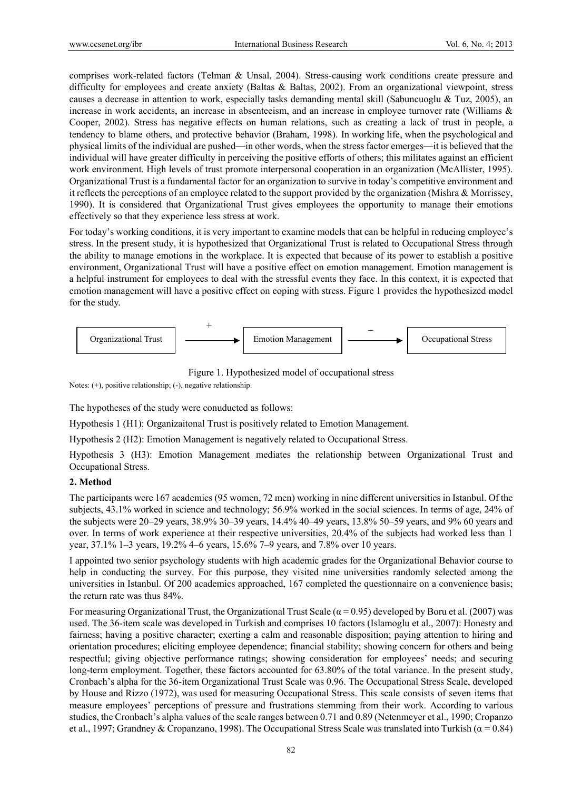comprises work-related factors (Telman & Unsal, 2004). Stress-causing work conditions create pressure and difficulty for employees and create anxiety (Baltas & Baltas, 2002). From an organizational viewpoint, stress causes a decrease in attention to work, especially tasks demanding mental skill (Sabuncuoglu & Tuz, 2005), an increase in work accidents, an increase in absenteeism, and an increase in employee turnover rate (Williams & Cooper, 2002). Stress has negative effects on human relations, such as creating a lack of trust in people, a tendency to blame others, and protective behavior (Braham, 1998). In working life, when the psychological and physical limits of the individual are pushed—in other words, when the stress factor emerges—it is believed that the individual will have greater difficulty in perceiving the positive efforts of others; this militates against an efficient work environment. High levels of trust promote interpersonal cooperation in an organization (McAllister, 1995). Organizational Trust is a fundamental factor for an organization to survive in today's competitive environment and it reflects the perceptions of an employee related to the support provided by the organization (Mishra & Morrissey, 1990). It is considered that Organizational Trust gives employees the opportunity to manage their emotions effectively so that they experience less stress at work.

For today's working conditions, it is very important to examine models that can be helpful in reducing employee's stress. In the present study, it is hypothesized that Organizational Trust is related to Occupational Stress through the ability to manage emotions in the workplace. It is expected that because of its power to establish a positive environment, Organizational Trust will have a positive effect on emotion management. Emotion management is a helpful instrument for employees to deal with the stressful events they face. In this context, it is expected that emotion management will have a positive effect on coping with stress. Figure 1 provides the hypothesized model for the study.



Figure 1. Hypothesized model of occupational stress

Notes: (+), positive relationship; (-), negative relationship.

The hypotheses of the study were conuducted as follows:

Hypothesis 1 (H1): Organizaitonal Trust is positively related to Emotion Management.

Hypothesis 2 (H2): Emotion Management is negatively related to Occupational Stress.

Hypothesis 3 (H3): Emotion Management mediates the relationship between Organizational Trust and Occupational Stress.

### **2. Method**

The participants were 167 academics (95 women, 72 men) working in nine different universities in Istanbul. Of the subjects, 43.1% worked in science and technology; 56.9% worked in the social sciences. In terms of age, 24% of the subjects were 20–29 years, 38.9% 30–39 years, 14.4% 40–49 years, 13.8% 50–59 years, and 9% 60 years and over. In terms of work experience at their respective universities, 20.4% of the subjects had worked less than 1 year, 37.1% 1–3 years, 19.2% 4–6 years, 15.6% 7–9 years, and 7.8% over 10 years.

I appointed two senior psychology students with high academic grades for the Organizational Behavior course to help in conducting the survey. For this purpose, they visited nine universities randomly selected among the universities in Istanbul. Of 200 academics approached, 167 completed the questionnaire on a convenience basis; the return rate was thus 84%.

For measuring Organizational Trust, the Organizational Trust Scale ( $\alpha$  = 0.95) developed by Boru et al. (2007) was used. The 36-item scale was developed in Turkish and comprises 10 factors (Islamoglu et al., 2007): Honesty and fairness; having a positive character; exerting a calm and reasonable disposition; paying attention to hiring and orientation procedures; eliciting employee dependence; financial stability; showing concern for others and being respectful; giving objective performance ratings; showing consideration for employees' needs; and securing long-term employment. Together, these factors accounted for 63.80% of the total variance. In the present study, Cronbach's alpha for the 36-item Organizational Trust Scale was 0.96. The Occupational Stress Scale, developed by House and Rizzo (1972), was used for measuring Occupational Stress. This scale consists of seven items that measure employees' perceptions of pressure and frustrations stemming from their work. According to various studies, the Cronbach's alpha values of the scale ranges between 0.71 and 0.89 (Netenmeyer et al., 1990; Cropanzo et al., 1997; Grandney & Cropanzano, 1998). The Occupational Stress Scale was translated into Turkish ( $\alpha$  = 0.84)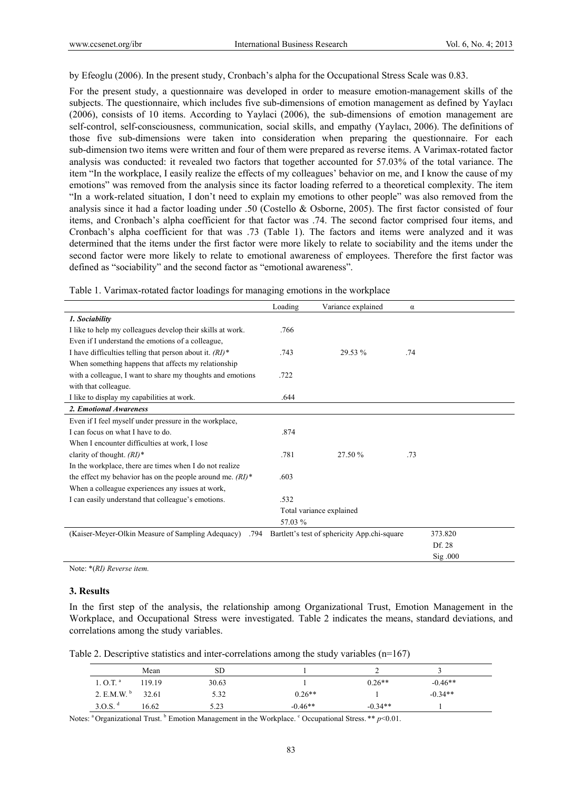by Efeoglu (2006). In the present study, Cronbach's alpha for the Occupational Stress Scale was 0.83.

For the present study, a questionnaire was developed in order to measure emotion-management skills of the subjects. The questionnaire, which includes five sub-dimensions of emotion management as defined by Yaylacı (2006), consists of 10 items. According to Yaylaci (2006), the sub-dimensions of emotion management are self-control, self-consciousness, communication, social skills, and empathy (Yaylacı, 2006). The definitions of those five sub-dimensions were taken into consideration when preparing the questionnaire. For each sub-dimension two items were written and four of them were prepared as reverse items. A Varimax-rotated factor analysis was conducted: it revealed two factors that together accounted for 57.03% of the total variance. The item "In the workplace, I easily realize the effects of my colleagues' behavior on me, and I know the cause of my emotions" was removed from the analysis since its factor loading referred to a theoretical complexity. The item "In a work-related situation, I don't need to explain my emotions to other people" was also removed from the analysis since it had a factor loading under .50 (Costello & Osborne, 2005). The first factor consisted of four items, and Cronbach's alpha coefficient for that factor was .74. The second factor comprised four items, and Cronbach's alpha coefficient for that was .73 (Table 1). The factors and items were analyzed and it was determined that the items under the first factor were more likely to relate to sociability and the items under the second factor were more likely to relate to emotional awareness of employees. Therefore the first factor was defined as "sociability" and the second factor as "emotional awareness".

|                                                              | Loading | Variance explained                           | $\alpha$ |         |
|--------------------------------------------------------------|---------|----------------------------------------------|----------|---------|
| 1. Sociability                                               |         |                                              |          |         |
| I like to help my colleagues develop their skills at work.   | .766    |                                              |          |         |
| Even if I understand the emotions of a colleague,            |         |                                              |          |         |
|                                                              |         |                                              |          |         |
| I have difficulties telling that person about it. $(RI)^*$   | .743    | 29.53 %                                      | .74      |         |
| When something happens that affects my relationship          |         |                                              |          |         |
| with a colleague, I want to share my thoughts and emotions   | .722    |                                              |          |         |
| with that colleague.                                         |         |                                              |          |         |
| I like to display my capabilities at work.                   | .644    |                                              |          |         |
| 2. Emotional Awareness                                       |         |                                              |          |         |
| Even if I feel myself under pressure in the workplace,       |         |                                              |          |         |
| I can focus on what I have to do.                            | .874    |                                              |          |         |
| When I encounter difficulties at work, I lose                |         |                                              |          |         |
| clarity of thought. $(RI)^*$                                 | .781    | 27.50 %                                      | .73      |         |
| In the workplace, there are times when I do not realize      |         |                                              |          |         |
| the effect my behavior has on the people around me. $(RI)^*$ | .603    |                                              |          |         |
| When a colleague experiences any issues at work,             |         |                                              |          |         |
| I can easily understand that colleague's emotions.           | .532    |                                              |          |         |
|                                                              |         | Total variance explained                     |          |         |
|                                                              | 57.03 % |                                              |          |         |
| (Kaiser-Meyer-Olkin Measure of Sampling Adequacy)<br>.794    |         | Bartlett's test of sphericity App.chi-square |          | 373.820 |
|                                                              |         |                                              |          | Df. 28  |
|                                                              |         |                                              |          | Sig.000 |

Table 1. Varimax-rotated factor loadings for managing emotions in the workplace

Note: \*(*RI) Reverse item.* 

### **3. Results**

In the first step of the analysis, the relationship among Organizational Trust, Emotion Management in the Workplace, and Occupational Stress were investigated. Table 2 indicates the means, standard deviations, and correlations among the study variables.

Table 2. Descriptive statistics and inter-correlations among the study variables  $(n=167)$ 

|                      | Mean   | SD    |           |           |           |
|----------------------|--------|-------|-----------|-----------|-----------|
| $1.0 \text{ T}$ .    | 119.19 | 30.63 |           | $0.26**$  | $-0.46**$ |
| 2. E.M.W. $^{\rm b}$ | 32.61  | 5.32  | $0.26**$  |           | $-0.34**$ |
| 3.0.S. <sup>d</sup>  | 16.62  | 5.23  | $-0.46**$ | $-0.34**$ |           |

Notes: <sup>a</sup> Organizational Trust. <sup>b</sup> Emotion Management in the Workplace. C Occupational Stress. \*\* *p*<0.01.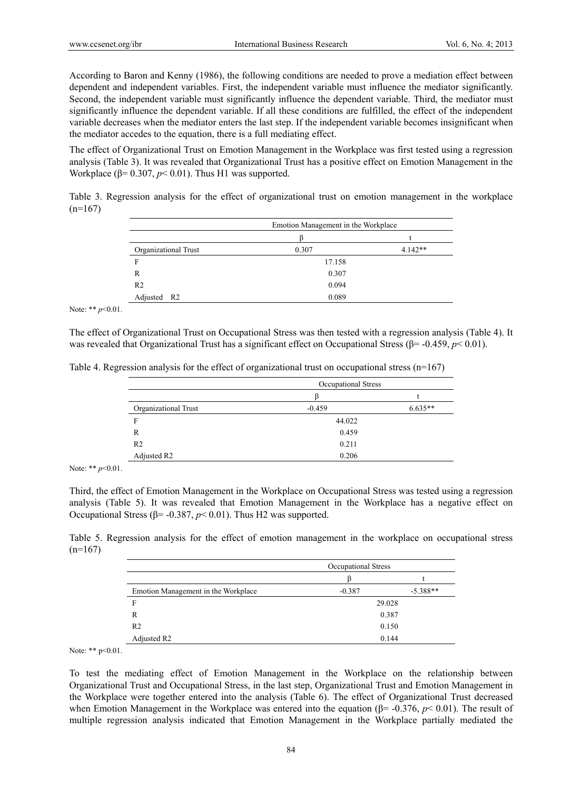According to Baron and Kenny (1986), the following conditions are needed to prove a mediation effect between dependent and independent variables. First, the independent variable must influence the mediator significantly. Second, the independent variable must significantly influence the dependent variable. Third, the mediator must significantly influence the dependent variable. If all these conditions are fulfilled, the effect of the independent variable decreases when the mediator enters the last step. If the independent variable becomes insignificant when the mediator accedes to the equation, there is a full mediating effect.

The effect of Organizational Trust on Emotion Management in the Workplace was first tested using a regression analysis (Table 3). It was revealed that Organizational Trust has a positive effect on Emotion Management in the Workplace ( $\beta$ = 0.307,  $p$  < 0.01). Thus H1 was supported.

Table 3. Regression analysis for the effect of organizational trust on emotion management in the workplace  $(n=167)$ 

|                      | Emotion Management in the Workplace |           |  |  |
|----------------------|-------------------------------------|-----------|--|--|
|                      |                                     |           |  |  |
| Organizational Trust | 0.307                               | $4.142**$ |  |  |
| F                    | 17.158                              |           |  |  |
| R                    | 0.307                               |           |  |  |
| R <sub>2</sub>       | 0.094                               |           |  |  |
| Adjusted<br>R2       | 0.089                               |           |  |  |

Note: \*\*  $p$  < 0.01.

The effect of Organizational Trust on Occupational Stress was then tested with a regression analysis (Table 4). It was revealed that Organizational Trust has a significant effect on Occupational Stress (β= -0.459, *p*< 0.01).

| Table 4. Regression analysis for the effect of organizational trust on occupational stress $(n=167)$ |
|------------------------------------------------------------------------------------------------------|
|------------------------------------------------------------------------------------------------------|

|                      | Occupational Stress |           |  |  |
|----------------------|---------------------|-----------|--|--|
|                      |                     |           |  |  |
| Organizational Trust | $-0.459$            | $6.635**$ |  |  |
| F                    | 44.022              |           |  |  |
| R                    | 0.459               |           |  |  |
| R <sub>2</sub>       | 0.211               |           |  |  |
| Adjusted R2          | 0.206               |           |  |  |

Note: \*\* *p*<0.01.

Third, the effect of Emotion Management in the Workplace on Occupational Stress was tested using a regression analysis (Table 5). It was revealed that Emotion Management in the Workplace has a negative effect on Occupational Stress ( $β = -0.387$ ,  $p < 0.01$ ). Thus H2 was supported.

Table 5. Regression analysis for the effect of emotion management in the workplace on occupational stress  $(n=167)$ 

|                                     | Occupational Stress |            |  |  |
|-------------------------------------|---------------------|------------|--|--|
|                                     |                     |            |  |  |
| Emotion Management in the Workplace | $-0.387$            | $-5.388**$ |  |  |
| F                                   | 29.028              |            |  |  |
| R                                   | 0.387               |            |  |  |
| R <sub>2</sub>                      | 0.150               |            |  |  |
| Adjusted R <sub>2</sub>             | 0.144               |            |  |  |

Note: \*\*  $p<0.01$ .

To test the mediating effect of Emotion Management in the Workplace on the relationship between Organizational Trust and Occupational Stress, in the last step, Organizational Trust and Emotion Management in the Workplace were together entered into the analysis (Table 6). The effect of Organizational Trust decreased when Emotion Management in the Workplace was entered into the equation (β= -0.376, *p*< 0.01). The result of multiple regression analysis indicated that Emotion Management in the Workplace partially mediated the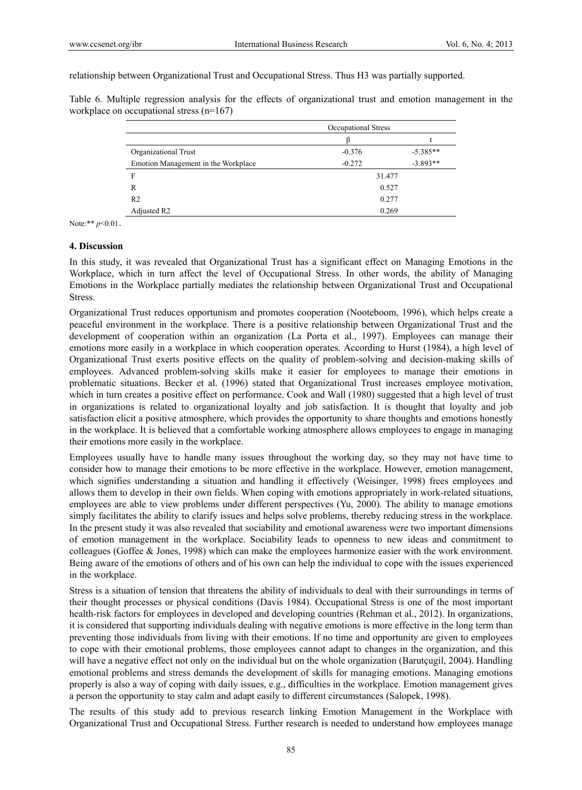relationship between Organizational Trust and Occupational Stress. Thus H3 was partially supported.

|  |                                            |  |  | Table 6. Multiple regression analysis for the effects of organizational trust and emotion management in the |  |  |  |
|--|--------------------------------------------|--|--|-------------------------------------------------------------------------------------------------------------|--|--|--|
|  | workplace on occupational stress $(n=167)$ |  |  |                                                                                                             |  |  |  |

|                                     | Occupational Stress |            |  |  |  |
|-------------------------------------|---------------------|------------|--|--|--|
|                                     |                     |            |  |  |  |
| Organizational Trust                | $-0.376$            | $-5.385**$ |  |  |  |
| Emotion Management in the Workplace | $-0.272$            | $-3.893**$ |  |  |  |
| F                                   | 31.477              |            |  |  |  |
| R                                   | 0.527               |            |  |  |  |
| R <sub>2</sub>                      | 0.277               |            |  |  |  |
| Adjusted R2                         | 0.269               |            |  |  |  |

Note:\*\* *p*<0.01.

#### **4. Discussion**

In this study, it was revealed that Organizational Trust has a significant effect on Managing Emotions in the Workplace, which in turn affect the level of Occupational Stress. In other words, the ability of Managing Emotions in the Workplace partially mediates the relationship between Organizational Trust and Occupational Stress.

Organizational Trust reduces opportunism and promotes cooperation (Nooteboom, 1996), which helps create a peaceful environment in the workplace. There is a positive relationship between Organizational Trust and the development of cooperation within an organization (La Porta et al., 1997). Employees can manage their emotions more easily in a workplace in which cooperation operates. According to Hurst (1984), a high level of Organizational Trust exerts positive effects on the quality of problem-solving and decision-making skills of employees. Advanced problem-solving skills make it easier for employees to manage their emotions in problematic situations. Becker et al. (1996) stated that Organizational Trust increases employee motivation, which in turn creates a positive effect on performance. Cook and Wall (1980) suggested that a high level of trust in organizations is related to organizational loyalty and job satisfaction. It is thought that loyalty and job satisfaction elicit a positive atmosphere, which provides the opportunity to share thoughts and emotions honestly in the workplace. It is believed that a comfortable working atmosphere allows employees to engage in managing their emotions more easily in the workplace.

Employees usually have to handle many issues throughout the working day, so they may not have time to consider how to manage their emotions to be more effective in the workplace. However, emotion management, which signifies understanding a situation and handling it effectively (Weisinger, 1998) frees employees and allows them to develop in their own fields. When coping with emotions appropriately in work-related situations, employees are able to view problems under different perspectives (Yu, 2000). The ability to manage emotions simply facilitates the ability to clarify issues and helps solve problems, thereby reducing stress in the workplace. In the present study it was also revealed that sociability and emotional awareness were two important dimensions of emotion management in the workplace. Sociability leads to openness to new ideas and commitment to colleagues (Goffee & Jones, 1998) which can make the employees harmonize easier with the work environment. Being aware of the emotions of others and of his own can help the individual to cope with the issues experienced in the workplace.

Stress is a situation of tension that threatens the ability of individuals to deal with their surroundings in terms of their thought processes or physical conditions (Davis 1984). Occupational Stress is one of the most important health-risk factors for employees in developed and developing countries (Rehman et al., 2012). In organizations, it is considered that supporting individuals dealing with negative emotions is more effective in the long term than preventing those individuals from living with their emotions. If no time and opportunity are given to employees to cope with their emotional problems, those employees cannot adapt to changes in the organization, and this will have a negative effect not only on the individual but on the whole organization (Barutçugil, 2004). Handling emotional problems and stress demands the development of skills for managing emotions. Managing emotions properly is also a way of coping with daily issues, e.g., difficulties in the workplace. Emotion management gives a person the opportunity to stay calm and adapt easily to different circumstances (Salopek, 1998).

The results of this study add to previous research linking Emotion Management in the Workplace with Organizational Trust and Occupational Stress. Further research is needed to understand how employees manage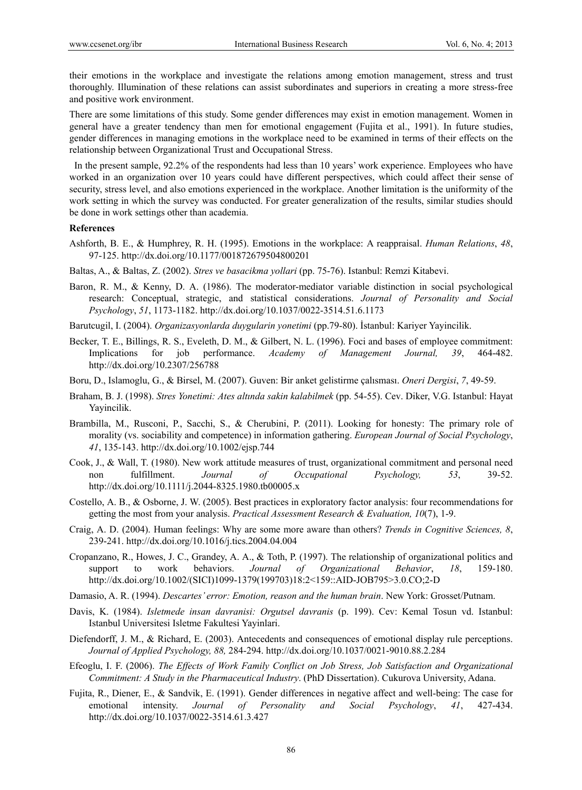their emotions in the workplace and investigate the relations among emotion management, stress and trust thoroughly. Illumination of these relations can assist subordinates and superiors in creating a more stress-free and positive work environment.

There are some limitations of this study. Some gender differences may exist in emotion management. Women in general have a greater tendency than men for emotional engagement (Fujita et al., 1991). In future studies, gender differences in managing emotions in the workplace need to be examined in terms of their effects on the relationship between Organizational Trust and Occupational Stress.

 In the present sample, 92.2% of the respondents had less than 10 years' work experience. Employees who have worked in an organization over 10 years could have different perspectives, which could affect their sense of security, stress level, and also emotions experienced in the workplace. Another limitation is the uniformity of the work setting in which the survey was conducted. For greater generalization of the results, similar studies should be done in work settings other than academia.

#### **References**

- Ashforth, B. E., & Humphrey, R. H. (1995). Emotions in the workplace: A reappraisal. *Human Relations*, *48*, 97-125. http://dx.doi.org/10.1177/001872679504800201
- Baltas, A., & Baltas, Z. (2002). *Stres ve basacikma yollari* (pp. 75-76). Istanbul: Remzi Kitabevi.
- Baron, R. M., & Kenny, D. A. (1986). The moderator-mediator variable distinction in social psychological research: Conceptual, strategic, and statistical considerations. *Journal of Personality and Social Psychology*, *51*, 1173-1182. http://dx.doi.org/10.1037/0022-3514.51.6.1173
- Barutcugil, I. (2004). *Organizasyonlarda duygularin yonetimi* (pp.79-80). İstanbul: Kariyer Yayincilik.
- Becker, T. E., Billings, R. S., Eveleth, D. M., & Gilbert, N. L. (1996). Foci and bases of employee commitment: Implications for job performance. *Academy of Management Journal, 39*, 464-482. http://dx.doi.org/10.2307/256788
- Boru, D., Islamoglu, G., & Birsel, M. (2007). Guven: Bir anket gelistirme çalısması. *Oneri Dergisi*, *7*, 49-59.
- Braham, B. J. (1998). *Stres Yonetimi: Ates altında sakin kalabilmek* (pp. 54-55). Cev. Diker, V.G. Istanbul: Hayat Yayincilik.
- Brambilla, M., Rusconi, P., Sacchi, S., & Cherubini, P. (2011). Looking for honesty: The primary role of morality (vs. sociability and competence) in information gathering. *European Journal of Social Psychology*, *41*, 135-143. http://dx.doi.org/10.1002/ejsp.744
- Cook, J., & Wall, T. (1980). New work attitude measures of trust, organizational commitment and personal need non fulfillment. *Journal of Occupational Psychology, 53*, 39-52. http://dx.doi.org/10.1111/j.2044-8325.1980.tb00005.x
- Costello, A. B., & Osborne, J. W. (2005). Best practices in exploratory factor analysis: four recommendations for getting the most from your analysis. *Practical Assessment Research & Evaluation, 10*(7), 1-9.
- Craig, A. D. (2004). Human feelings: Why are some more aware than others? *Trends in Cognitive Sciences, 8*, 239-241. http://dx.doi.org/10.1016/j.tics.2004.04.004
- Cropanzano, R., Howes, J. C., Grandey, A. A., & Toth, P. (1997). The relationship of organizational politics and support to work behaviors. *Journal of Organizational Behavior*, *18*, 159-180. http://dx.doi.org/10.1002/(SICI)1099-1379(199703)18:2<159::AID-JOB795>3.0.CO;2-D
- Damasio, A. R. (1994). *Descartes' error: Emotion, reason and the human brain*. New York: Grosset/Putnam.
- Davis, K. (1984). *Isletmede insan davranisi: Orgutsel davranis* (p. 199). Cev: Kemal Tosun vd. Istanbul: Istanbul Universitesi Isletme Fakultesi Yayinlari.
- Diefendorff, J. M., & Richard, E. (2003). Antecedents and consequences of emotional display rule perceptions. *Journal of Applied Psychology, 88,* 284-294. http://dx.doi.org/10.1037/0021-9010.88.2.284
- Efeoglu, I. F. (2006). *The Effects of Work Family Conflict on Job Stress, Job Satisfaction and Organizational Commitment: A Study in the Pharmaceutical Industry*. (PhD Dissertation). Cukurova University, Adana.
- Fujita, R., Diener, E., & Sandvik, E. (1991). Gender differences in negative affect and well-being: The case for emotional intensity. *Journal of Personality and Social Psychology*, *41*, 427-434. http://dx.doi.org/10.1037/0022-3514.61.3.427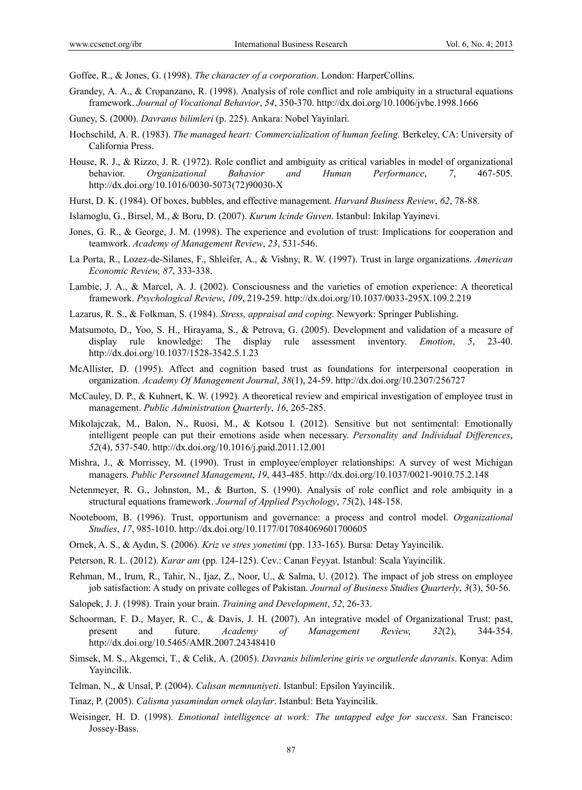Goffee, R., & Jones, G. (1998). *The character of a corporation*. London: HarperCollins.

- Grandey, A. A., & Cropanzano, R. (1998). Analysis of role conflict and role ambiquity in a structural equations framework. *Journal of Vocational Behavior*, *54*, 350-370. http://dx.doi.org/10.1006/jvbe.1998.1666
- Guney, S. (2000). *Davranıs bilimleri* (p. 225). Ankara: Nobel Yayinlari.
- Hochschild, A. R. (1983). *The managed heart: Commercialization of human feeling.* Berkeley, CA: University of California Press.
- House, R. J., & Rizzo, J. R. (1972). Role conflict and ambiguity as critical variables in model of organizational behavior. *Organizational Bahavior and Human Performance*, *7*, 467-505. http://dx.doi.org/10.1016/0030-5073(72)90030-X
- Hurst, D. K. (1984). Of boxes, bubbles, and effective management. *Harvard Business Review*, *62*, 78-88.
- Islamoglu, G., Birsel, M., & Boru, D. (2007). *Kurum Icinde Guven*. Istanbul: Inkilap Yayinevi.
- Jones, G. R., & George, J. M. (1998). The experience and evolution of trust: Implications for cooperation and teamwork. *Academy of Management Review*, *23*, 531-546.
- La Porta, R., Lozez-de-Silanes, F., Shleifer, A., & Vishny, R. W. (1997). Trust in large organizations. *American Economic Review, 87*, 333-338.
- Lambie, J. A., & Marcel, A. J. (2002). Consciousness and the varieties of emotion experience: A theoretical framework. *Psychological Review*, *109*, 219-259. http://dx.doi.org/10.1037/0033-295X.109.2.219
- Lazarus, R. S., & Folkman, S. (1984). *Stress, appraisal and coping*. Newyork: Springer Publishing.
- Matsumoto, D., Yoo, S. H., Hirayama, S., & Petrova, G. (2005). Development and validation of a measure of display rule knowledge: The display rule assessment inventory. *Emotion*, *5*, 23-40. http://dx.doi.org/10.1037/1528-3542.5.1.23
- McAllister, D. (1995). Affect and cognition based trust as foundations for interpersonal cooperation in organization. *Academy Of Management Journal*, *38*(1), 24-59. http://dx.doi.org/10.2307/256727
- McCauley, D. P., & Kuhnert, K. W. (1992). A theoretical review and empirical investigation of employee trust in management. *Public Administration Quarterly*, *16*, 265-285.
- Mikolajczak, M., Balon, N., Ruosi, M., & Kotsou I. (2012). Sensitive but not sentimental: Emotionally intelligent people can put their emotions aside when necessary. *Personality and Individual Differences*, *52*(4), 537-540. http://dx.doi.org/10.1016/j.paid.2011.12.001
- Mishra, J., & Morrissey, M. (1990). Trust in employee/employer relationships: A survey of west Michigan managers. *Public Personnel Management*, *19*, 443-485. http://dx.doi.org/10.1037/0021-9010.75.2.148
- Netenmeyer, R. G., Johnston, M., & Burton, S. (1990). Analysis of role conflict and role ambiquity in a structural equations framework. *Journal of Applied Psychology*, *75*(2), 148-158.
- Nooteboom, B. (1996). Trust, opportunism and governance: a process and control model. *Organizational Studies*, *17*, 985-1010. http://dx.doi.org/10.1177/017084069601700605
- Ornek, A. S., & Aydın, S. (2006). *Kriz ve stres yonetimi* (pp. 133-165). Bursa: Detay Yayincilik.
- Peterson, R. L. (2012). *Karar anı* (pp*.* 124-125). Cev.: Canan Feyyat. Istanbul: Scala Yayincilik.
- Rehman, M., Irum, R., Tahir, N., Ijaz, Z., Noor, U., & Salma, U. (2012). The impact of job stress on employee job satisfaction: A study on private colleges of Pakistan. *Journal of Business Studies Quarterly*, *3*(3), 50-56.
- Salopek, J. J. (1998). Train your brain. *Training and Development*, *52*, 26-33.
- Schoorman, F. D., Mayer, R. C., & Davis, J. H. (2007). An integrative model of Organizational Trust: past, present and future. *Academy of Management Review, 32*(2), 344-354. http://dx.doi.org/10.5465/AMR.2007.24348410
- Simsek, M. S., Akgemci, T., & Celik, A. (2005). *Davranis bilimlerine giris ve orgutlerde davranis*. Konya: Adim Yayincilik.
- Telman, N., & Unsal, P. (2004). *Calısan memnuniyeti*. Istanbul: Epsilon Yayincilik.
- Tinaz, P. (2005). *Calisma yasamindan ornek olaylar*. Istanbul: Beta Yayincilik.
- Weisinger, H. D. (1998). *Emotional intelligence at work: The untapped edge for success*. San Francisco: Jossey-Bass.